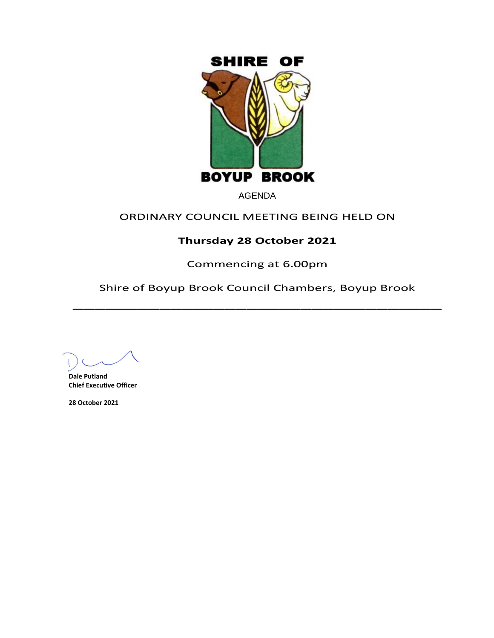

AGENDA

# ORDINARY COUNCIL MEETING BEING HELD ON

# **Thursday 28 October 2021**

Commencing at 6.00pm

Shire of Boyup Brook Council Chambers, Boyup Brook  $\overline{\phantom{a}}$ 

**Dale Putland Chief Executive Officer**

**28 October 2021**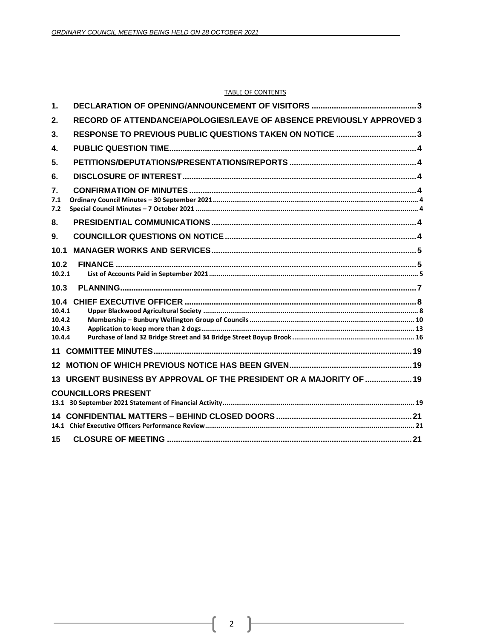#### TABLE OF CONTENTS

| $\mathbf 1$ .                                                               |  |
|-----------------------------------------------------------------------------|--|
| RECORD OF ATTENDANCE/APOLOGIES/LEAVE OF ABSENCE PREVIOUSLY APPROVED 3<br>2. |  |
| RESPONSE TO PREVIOUS PUBLIC QUESTIONS TAKEN ON NOTICE 3<br>3 <sub>1</sub>   |  |
| $\mathbf{4}$                                                                |  |
| 5.                                                                          |  |
| 6.                                                                          |  |
| $\overline{7}$ .<br>7.1<br>7.2                                              |  |
| 8.                                                                          |  |
| 9.                                                                          |  |
| 10.1                                                                        |  |
| 10.2<br>10.2.1                                                              |  |
| 10.3                                                                        |  |
| 10.4<br>10.4.1<br>10.4.2<br>10.4.3<br>10.4.4                                |  |
| 11                                                                          |  |
| 12                                                                          |  |
| 13 URGENT BUSINESS BY APPROVAL OF THE PRESIDENT OR A MAJORITY OF  19        |  |
| <b>COUNCILLORS PRESENT</b>                                                  |  |
| 14                                                                          |  |
| 15                                                                          |  |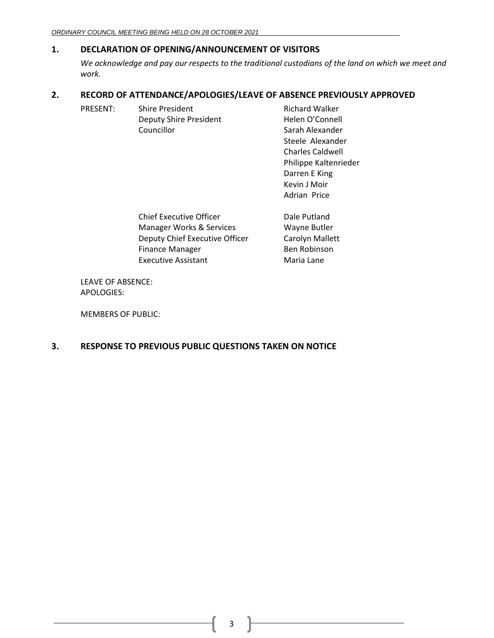## <span id="page-2-0"></span>**1. DECLARATION OF OPENING/ANNOUNCEMENT OF VISITORS**

*We acknowledge and pay our respects to the traditional custodians of the land on which we meet and work.*

> Kevin J Moir Adrian Price

## <span id="page-2-1"></span>**2. RECORD OF ATTENDANCE/APOLOGIES/LEAVE OF ABSENCE PREVIOUSLY APPROVED**

| PRESENT: | <b>Shire President</b> | <b>Richard Walker</b>   |
|----------|------------------------|-------------------------|
|          | Deputy Shire President | Helen O'Connell         |
|          | Councillor             | Sarah Alexander         |
|          |                        | Steele Alexander        |
|          |                        | <b>Charles Caldwell</b> |
|          |                        | Philippe Kaltenrieder   |
|          |                        | Darren E King           |

Chief Executive Officer **Dale Putland** Manager Works & Services Wayne Butler Deputy Chief Executive Officer Carolyn Mallett Finance Manager Ben Robinson Executive Assistant Maria Lane

LEAVE OF ABSENCE: APOLOGIES:

MEMBERS OF PUBLIC:

## <span id="page-2-2"></span>**3. RESPONSE TO PREVIOUS PUBLIC QUESTIONS TAKEN ON NOTICE**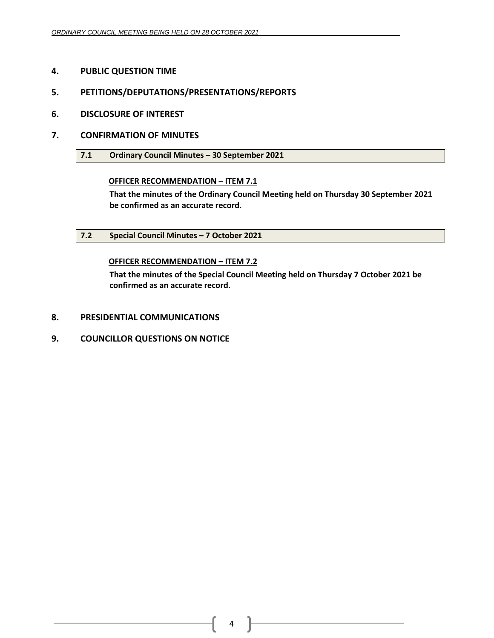- <span id="page-3-0"></span>**4. PUBLIC QUESTION TIME**
- <span id="page-3-1"></span>**5. PETITIONS/DEPUTATIONS/PRESENTATIONS/REPORTS**
- <span id="page-3-2"></span>**6. DISCLOSURE OF INTEREST**
- <span id="page-3-4"></span><span id="page-3-3"></span>**7. CONFIRMATION OF MINUTES**
	- **7.1 Ordinary Council Minutes – 30 September 2021**

## **OFFICER RECOMMENDATION – ITEM 7.1**

**That the minutes of the Ordinary Council Meeting held on Thursday 30 September 2021 be confirmed as an accurate record.**

<span id="page-3-5"></span>**7.2 Special Council Minutes – 7 October 2021**

## **OFFICER RECOMMENDATION – ITEM 7.2**

**That the minutes of the Special Council Meeting held on Thursday 7 October 2021 be confirmed as an accurate record.**

- <span id="page-3-6"></span>**8. PRESIDENTIAL COMMUNICATIONS**
- <span id="page-3-7"></span>**9. COUNCILLOR QUESTIONS ON NOTICE**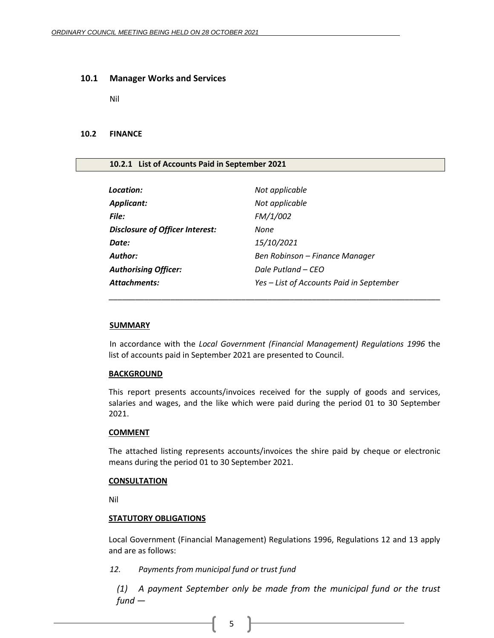#### <span id="page-4-0"></span>**10.1 Manager Works and Services**

Nil

### <span id="page-4-1"></span>**10.2 FINANCE**

#### <span id="page-4-2"></span>**10.2.1 List of Accounts Paid in September 2021**

| Location:                              | Not applicable                           |
|----------------------------------------|------------------------------------------|
| <b>Applicant:</b>                      | Not applicable                           |
| File:                                  | FM/1/002                                 |
| <b>Disclosure of Officer Interest:</b> | None                                     |
| Date:                                  | 15/10/2021                               |
| Author:                                | Ben Robinson – Finance Manager           |
| <b>Authorising Officer:</b>            | Dale Putland – CEO                       |
| Attachments:                           | Yes – List of Accounts Paid in September |
|                                        |                                          |

#### **SUMMARY**

In accordance with the *Local Government (Financial Management) Regulations 1996* the list of accounts paid in September 2021 are presented to Council.

\_\_\_\_\_\_\_\_\_\_\_\_\_\_\_\_\_\_\_\_\_\_\_\_\_\_\_\_\_\_\_\_\_\_\_\_\_\_\_\_\_\_\_\_\_\_\_\_\_\_\_\_\_\_\_\_\_\_\_\_\_\_\_\_\_\_\_\_\_\_\_\_\_\_\_

#### **BACKGROUND**

This report presents accounts/invoices received for the supply of goods and services, salaries and wages, and the like which were paid during the period 01 to 30 September 2021.

#### **COMMENT**

The attached listing represents accounts/invoices the shire paid by cheque or electronic means during the period 01 to 30 September 2021.

#### **CONSULTATION**

Nil

### **STATUTORY OBLIGATIONS**

Local Government (Financial Management) Regulations 1996, Regulations 12 and 13 apply and are as follows:

### *12. Payments from municipal fund or trust fund*

*(1) A payment September only be made from the municipal fund or the trust fund —*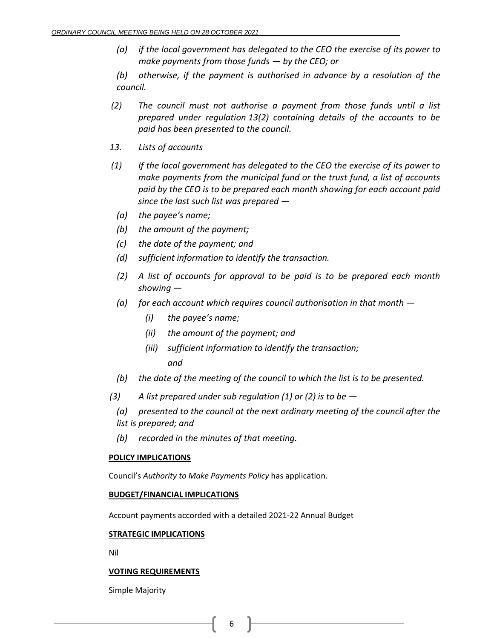*(a) if the local government has delegated to the CEO the exercise of its power to make payments from those funds — by the CEO; or*

*(b) otherwise, if the payment is authorised in advance by a resolution of the council.*

- *(2) The council must not authorise a payment from those funds until a list prepared under regulation 13(2) containing details of the accounts to be paid has been presented to the council.*
- *13. Lists of accounts*
- *(1) If the local government has delegated to the CEO the exercise of its power to make payments from the municipal fund or the trust fund, a list of accounts paid by the CEO is to be prepared each month showing for each account paid since the last such list was prepared —*
	- *(a) the payee's name;*
	- *(b) the amount of the payment;*
	- *(c) the date of the payment; and*
	- *(d) sufficient information to identify the transaction.*
	- *(2) A list of accounts for approval to be paid is to be prepared each month showing —*
	- *(a) for each account which requires council authorisation in that month —*
		- *(i) the payee's name;*
		- *(ii) the amount of the payment; and*
		- *(iii) sufficient information to identify the transaction; and*
	- *(b) the date of the meeting of the council to which the list is to be presented.*
- *(3) A list prepared under sub regulation (1) or (2) is to be —*

*(a) presented to the council at the next ordinary meeting of the council after the list is prepared; and*

*(b) recorded in the minutes of that meeting.*

## **POLICY IMPLICATIONS**

Council's *Authority to Make Payments Policy* has application.

## **BUDGET/FINANCIAL IMPLICATIONS**

Account payments accorded with a detailed 2021-22 Annual Budget

## **STRATEGIC IMPLICATIONS**

Nil

## **VOTING REQUIREMENTS**

Simple Majority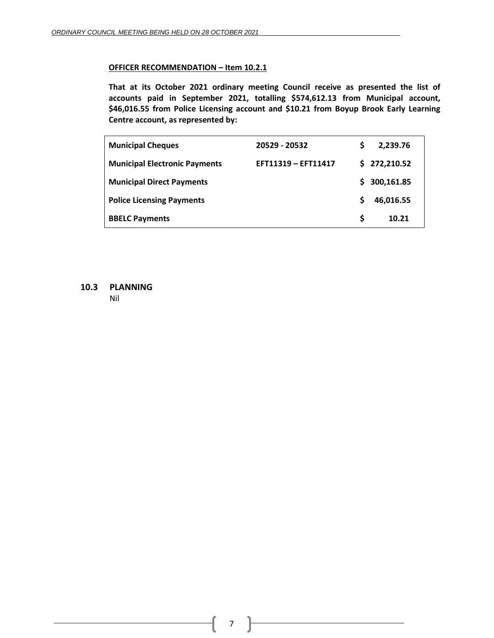## **OFFICER RECOMMENDATION – Item 10.2.1**

**That at its October 2021 ordinary meeting Council receive as presented the list of accounts paid in September 2021, totalling \$574,612.13 from Municipal account, \$46,016.55 from Police Licensing account and \$10.21 from Boyup Brook Early Learning Centre account, as represented by:**

| <b>Municipal Cheques</b>             | 20529 - 20532       |    | 2,239.76     |
|--------------------------------------|---------------------|----|--------------|
| <b>Municipal Electronic Payments</b> | EFT11319 - EFT11417 |    | \$272,210.52 |
| <b>Municipal Direct Payments</b>     |                     | S. | 300,161.85   |
| <b>Police Licensing Payments</b>     |                     |    | 46,016.55    |
| <b>BBELC Payments</b>                |                     | S  | 10.21        |

<span id="page-6-0"></span>**10.3 PLANNING**

Nil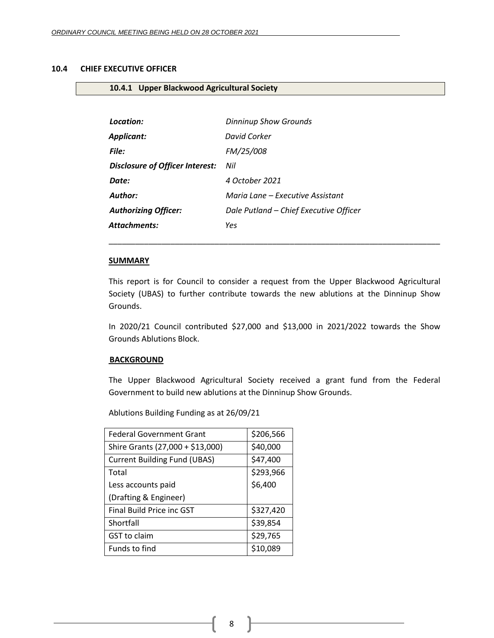## <span id="page-7-0"></span>**10.4 CHIEF EXECUTIVE OFFICER**

## <span id="page-7-1"></span>**10.4.1 Upper Blackwood Agricultural Society**

| Location:                                  | <b>Dinninup Show Grounds</b>           |
|--------------------------------------------|----------------------------------------|
| Applicant:                                 | David Corker                           |
| File:                                      | FM/25/008                              |
| <b>Disclosure of Officer Interest:</b> Nil |                                        |
| Date:                                      | 4 October 2021                         |
| <b>Author:</b>                             | Maria Lane – Executive Assistant       |
| <b>Authorizing Officer:</b>                | Dale Putland – Chief Executive Officer |
| Attachments:                               | Yes                                    |

#### **SUMMARY**

This report is for Council to consider a request from the Upper Blackwood Agricultural Society (UBAS) to further contribute towards the new ablutions at the Dinninup Show Grounds.

\_\_\_\_\_\_\_\_\_\_\_\_\_\_\_\_\_\_\_\_\_\_\_\_\_\_\_\_\_\_\_\_\_\_\_\_\_\_\_\_\_\_\_\_\_\_\_\_\_\_\_\_\_\_\_\_\_\_\_\_\_\_\_\_\_\_\_\_\_\_\_\_\_\_\_

In 2020/21 Council contributed \$27,000 and \$13,000 in 2021/2022 towards the Show Grounds Ablutions Block.

#### **BACKGROUND**

The Upper Blackwood Agricultural Society received a grant fund from the Federal Government to build new ablutions at the Dinninup Show Grounds.

Ablutions Building Funding as at 26/09/21

| <b>Federal Government Grant</b>     | \$206,566 |
|-------------------------------------|-----------|
| Shire Grants (27,000 + \$13,000)    | \$40,000  |
| <b>Current Building Fund (UBAS)</b> | \$47,400  |
| Total                               | \$293,966 |
| Less accounts paid                  | \$6,400   |
| (Drafting & Engineer)               |           |
| Final Build Price inc GST           | \$327,420 |
| Shortfall                           | \$39,854  |
| GST to claim                        | \$29,765  |
| Funds to find                       | \$10,089  |

8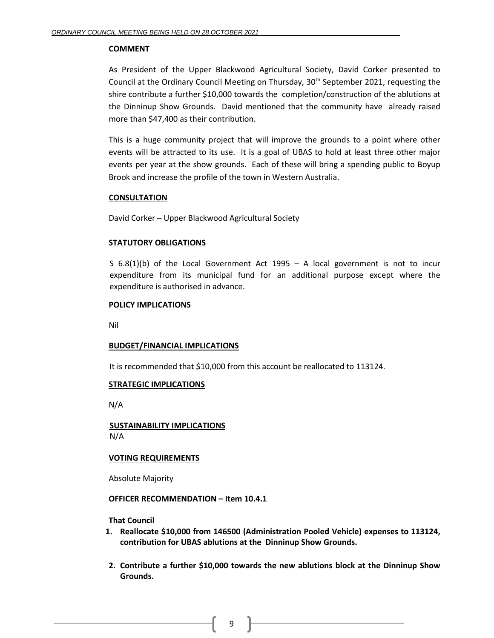### **COMMENT**

As President of the Upper Blackwood Agricultural Society, David Corker presented to Council at the Ordinary Council Meeting on Thursday,  $30<sup>th</sup>$  September 2021, requesting the shire contribute a further \$10,000 towards the completion/construction of the ablutions at the Dinninup Show Grounds. David mentioned that the community have already raised more than \$47,400 as their contribution.

This is a huge community project that will improve the grounds to a point where other events will be attracted to its use. It is a goal of UBAS to hold at least three other major events per year at the show grounds. Each of these will bring a spending public to Boyup Brook and increase the profile of the town in Western Australia.

#### **CONSULTATION**

David Corker – Upper Blackwood Agricultural Society

## **STATUTORY OBLIGATIONS**

S 6.8(1)(b) of the Local Government Act 1995 – A local government is not to incur expenditure from its municipal fund for an additional purpose except where the expenditure is authorised in advance.

#### **POLICY IMPLICATIONS**

Nil

## **BUDGET/FINANCIAL IMPLICATIONS**

It is recommended that \$10,000 from this account be reallocated to 113124.

#### **STRATEGIC IMPLICATIONS**

N/A

**SUSTAINABILITY IMPLICATIONS** N/A

## **VOTING REQUIREMENTS**

Absolute Majority

#### **OFFICER RECOMMENDATION – Item 10.4.1**

**That Council**

- **1. Reallocate \$10,000 from 146500 (Administration Pooled Vehicle) expenses to 113124, contribution for UBAS ablutions at the Dinninup Show Grounds.**
- **2. Contribute a further \$10,000 towards the new ablutions block at the Dinninup Show Grounds.**

9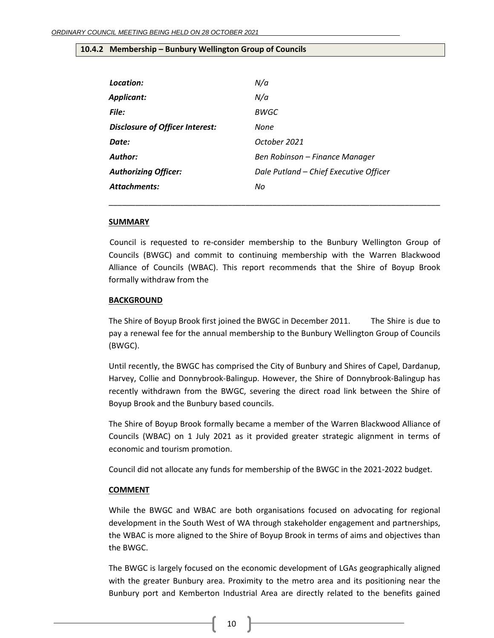## <span id="page-9-0"></span>**10.4.2 Membership – Bunbury Wellington Group of Councils**

| Location:                       | N/a                                    |
|---------------------------------|----------------------------------------|
| Applicant:                      | N/a                                    |
| File:                           | BWGC                                   |
| Disclosure of Officer Interest: | None                                   |
| Date:                           | October 2021                           |
| Author:                         | Ben Robinson – Finance Manager         |
| <b>Authorizing Officer:</b>     | Dale Putland - Chief Executive Officer |
| <b>Attachments:</b>             | No                                     |
|                                 |                                        |

#### **SUMMARY**

Council is requested to re-consider membership to the Bunbury Wellington Group of Councils (BWGC) and commit to continuing membership with the Warren Blackwood Alliance of Councils (WBAC). This report recommends that the Shire of Boyup Brook formally withdraw from the

\_\_\_\_\_\_\_\_\_\_\_\_\_\_\_\_\_\_\_\_\_\_\_\_\_\_\_\_\_\_\_\_\_\_\_\_\_\_\_\_\_\_\_\_\_\_\_\_\_\_\_\_\_\_\_\_\_\_\_\_\_\_\_\_\_\_\_\_\_\_\_\_\_\_\_

#### **BACKGROUND**

The Shire of Boyup Brook first joined the BWGC in December 2011. The Shire is due to pay a renewal fee for the annual membership to the Bunbury Wellington Group of Councils (BWGC).

Until recently, the BWGC has comprised the City of Bunbury and Shires of Capel, Dardanup, Harvey, Collie and Donnybrook-Balingup. However, the Shire of Donnybrook-Balingup has recently withdrawn from the BWGC, severing the direct road link between the Shire of Boyup Brook and the Bunbury based councils.

The Shire of Boyup Brook formally became a member of the Warren Blackwood Alliance of Councils (WBAC) on 1 July 2021 as it provided greater strategic alignment in terms of economic and tourism promotion.

Council did not allocate any funds for membership of the BWGC in the 2021-2022 budget.

#### **COMMENT**

While the BWGC and WBAC are both organisations focused on advocating for regional development in the South West of WA through stakeholder engagement and partnerships, the WBAC is more aligned to the Shire of Boyup Brook in terms of aims and objectives than the BWGC.

The BWGC is largely focused on the economic development of LGAs geographically aligned with the greater Bunbury area. Proximity to the metro area and its positioning near the Bunbury port and Kemberton Industrial Area are directly related to the benefits gained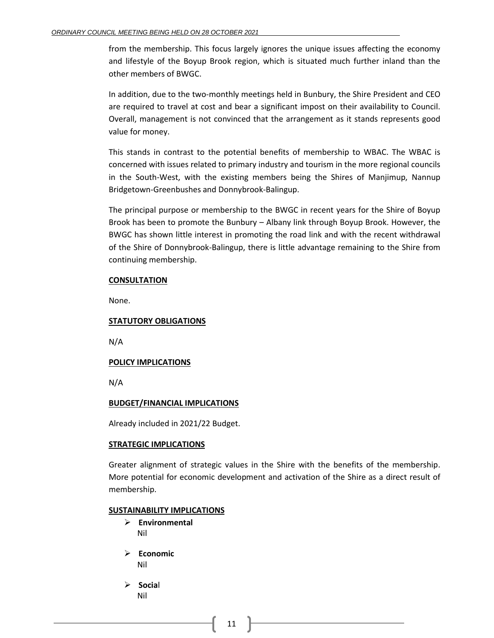from the membership. This focus largely ignores the unique issues affecting the economy and lifestyle of the Boyup Brook region, which is situated much further inland than the other members of BWGC.

In addition, due to the two-monthly meetings held in Bunbury, the Shire President and CEO are required to travel at cost and bear a significant impost on their availability to Council. Overall, management is not convinced that the arrangement as it stands represents good value for money.

This stands in contrast to the potential benefits of membership to WBAC. The WBAC is concerned with issues related to primary industry and tourism in the more regional councils in the South-West, with the existing members being the Shires of Manjimup, Nannup Bridgetown-Greenbushes and Donnybrook-Balingup.

The principal purpose or membership to the BWGC in recent years for the Shire of Boyup Brook has been to promote the Bunbury – Albany link through Boyup Brook. However, the BWGC has shown little interest in promoting the road link and with the recent withdrawal of the Shire of Donnybrook-Balingup, there is little advantage remaining to the Shire from continuing membership.

#### **CONSULTATION**

None.

## **STATUTORY OBLIGATIONS**

N/A

## **POLICY IMPLICATIONS**

N/A

#### **BUDGET/FINANCIAL IMPLICATIONS**

Already included in 2021/22 Budget.

#### **STRATEGIC IMPLICATIONS**

Greater alignment of strategic values in the Shire with the benefits of the membership. More potential for economic development and activation of the Shire as a direct result of membership.

#### **SUSTAINABILITY IMPLICATIONS**

- ➢ **Environmental** Nil
- ➢ **Economic** Nil
- ➢ **Socia**l Nil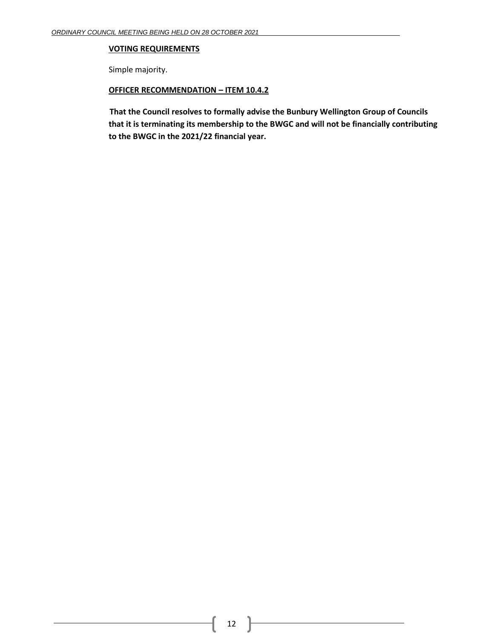## **VOTING REQUIREMENTS**

Simple majority.

## **OFFICER RECOMMENDATION – ITEM 10.4.2**

**That the Council resolves to formally advise the Bunbury Wellington Group of Councils that it is terminating its membership to the BWGC and will not be financially contributing to the BWGC in the 2021/22 financial year.**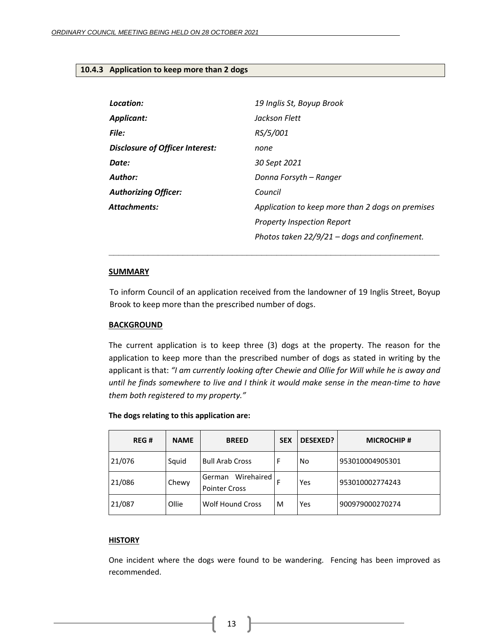#### <span id="page-12-0"></span>**10.4.3 Application to keep more than 2 dogs**

| Location:                       | 19 Inglis St, Boyup Brook                        |
|---------------------------------|--------------------------------------------------|
| <b>Applicant:</b>               | Jackson Flett                                    |
| <b>File:</b>                    | RS/5/001                                         |
| Disclosure of Officer Interest: | none                                             |
| Date:                           | 30 Sept 2021                                     |
| Author:                         | Donna Forsyth – Ranger                           |
| <b>Authorizing Officer:</b>     | Council                                          |
| Attachments:                    | Application to keep more than 2 dogs on premises |
|                                 | <b>Property Inspection Report</b>                |
|                                 | Photos taken $22/9/21$ – dogs and confinement.   |

#### **SUMMARY**

To inform Council of an application received from the landowner of 19 Inglis Street, Boyup Brook to keep more than the prescribed number of dogs.

**\_\_\_\_\_\_\_\_\_\_\_\_\_\_\_\_\_\_\_\_\_\_\_\_\_\_\_\_\_\_\_\_\_\_\_\_\_\_\_\_\_\_\_\_\_\_\_\_\_\_\_\_\_\_\_\_\_\_\_\_\_\_\_\_\_\_\_**

#### **BACKGROUND**

The current application is to keep three (3) dogs at the property. The reason for the application to keep more than the prescribed number of dogs as stated in writing by the applicant is that: *"I am currently looking after Chewie and Ollie for Will while he is away and until he finds somewhere to live and I think it would make sense in the mean-time to have them both registered to my property."*

| <b>REG#</b> | <b>NAME</b> | <b>BREED</b>                                 | <b>SEX</b> | <b>DESEXED?</b> | <b>MICROCHIP#</b> |
|-------------|-------------|----------------------------------------------|------------|-----------------|-------------------|
| 21/076      | Squid       | <b>Bull Arab Cross</b>                       | F          | No              | 953010004905301   |
| 21/086      | Chewy       | Wirehaired<br>German<br><b>Pointer Cross</b> | F          | Yes             | 953010002774243   |
| 21/087      | Ollie       | <b>Wolf Hound Cross</b>                      | м          | Yes             | 900979000270274   |

#### **The dogs relating to this application are:**

## **HISTORY**

One incident where the dogs were found to be wandering. Fencing has been improved as recommended.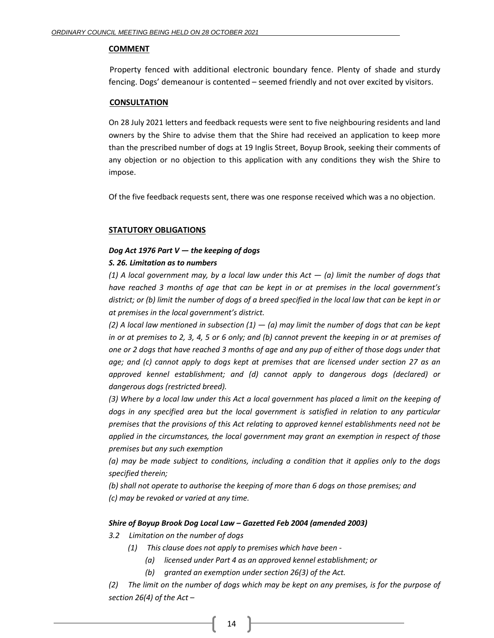#### **COMMENT**

Property fenced with additional electronic boundary fence. Plenty of shade and sturdy fencing. Dogs' demeanour is contented – seemed friendly and not over excited by visitors.

#### **CONSULTATION**

On 28 July 2021 letters and feedback requests were sent to five neighbouring residents and land owners by the Shire to advise them that the Shire had received an application to keep more than the prescribed number of dogs at 19 Inglis Street, Boyup Brook, seeking their comments of any objection or no objection to this application with any conditions they wish the Shire to impose.

Of the five feedback requests sent, there was one response received which was a no objection.

## **STATUTORY OBLIGATIONS**

## *Dog Act 1976 Part V — the keeping of dogs*

## *S. 26. Limitation as to numbers*

*(1) A local government may, by a local law under this Act — (a) limit the number of dogs that have reached 3 months of age that can be kept in or at premises in the local government's district; or (b) limit the number of dogs of a breed specified in the local law that can be kept in or at premises in the local government's district.*

*(2) A local law mentioned in subsection (1) — (a) may limit the number of dogs that can be kept in or at premises to 2, 3, 4, 5 or 6 only; and (b) cannot prevent the keeping in or at premises of one or 2 dogs that have reached 3 months of age and any pup of either of those dogs under that age; and (c) cannot apply to dogs kept at premises that are licensed under section 27 as an approved kennel establishment; and (d) cannot apply to dangerous dogs (declared) or dangerous dogs (restricted breed).* 

*(3) Where by a local law under this Act a local government has placed a limit on the keeping of dogs in any specified area but the local government is satisfied in relation to any particular premises that the provisions of this Act relating to approved kennel establishments need not be applied in the circumstances, the local government may grant an exemption in respect of those premises but any such exemption* 

*(a) may be made subject to conditions, including a condition that it applies only to the dogs specified therein;* 

*(b) shall not operate to authorise the keeping of more than 6 dogs on those premises; and (c) may be revoked or varied at any time.*

## *Shire of Boyup Brook Dog Local Law – Gazetted Feb 2004 (amended 2003)*

## *3.2 Limitation on the number of dogs*

- *(1) This clause does not apply to premises which have been -*
	- *(a) licensed under Part 4 as an approved kennel establishment; or*
	- *(b) granted an exemption under section 26(3) of the Act.*

*(2) The limit on the number of dogs which may be kept on any premises, is for the purpose of section 26(4) of the Act –*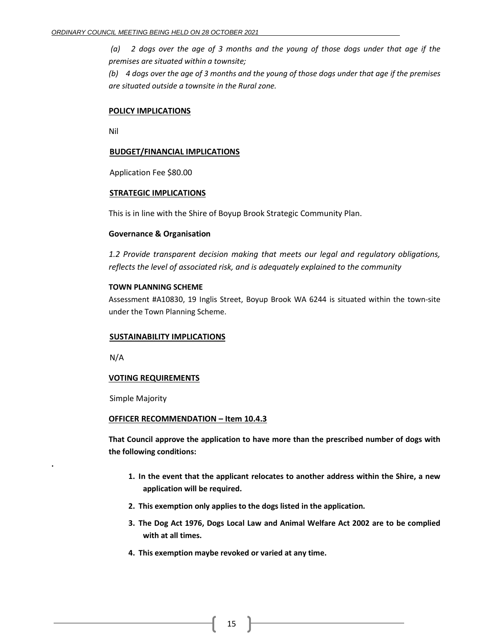*(a) 2 dogs over the age of 3 months and the young of those dogs under that age if the premises are situated within a townsite;*

*(b) 4 dogs over the age of 3 months and the young of those dogs under that age if the premises are situated outside a townsite in the Rural zone.*

#### **POLICY IMPLICATIONS**

Nil

#### **BUDGET/FINANCIAL IMPLICATIONS**

Application Fee \$80.00

#### **STRATEGIC IMPLICATIONS**

This is in line with the Shire of Boyup Brook Strategic Community Plan.

#### **Governance & Organisation**

*1.2 Provide transparent decision making that meets our legal and regulatory obligations, reflects the level of associated risk, and is adequately explained to the community*

#### **TOWN PLANNING SCHEME**

Assessment #A10830, 19 Inglis Street, Boyup Brook WA 6244 is situated within the town-site under the Town Planning Scheme.

#### **SUSTAINABILITY IMPLICATIONS**

N/A

**.**

## **VOTING REQUIREMENTS**

Simple Majority

#### **OFFICER RECOMMENDATION – Item 10.4.3**

**That Council approve the application to have more than the prescribed number of dogs with the following conditions:**

- **1. In the event that the applicant relocates to another address within the Shire, a new application will be required.**
- **2. This exemption only applies to the dogs listed in the application.**
- **3. The Dog Act 1976, Dogs Local Law and Animal Welfare Act 2002 are to be complied with at all times.**
- **4. This exemption maybe revoked or varied at any time.**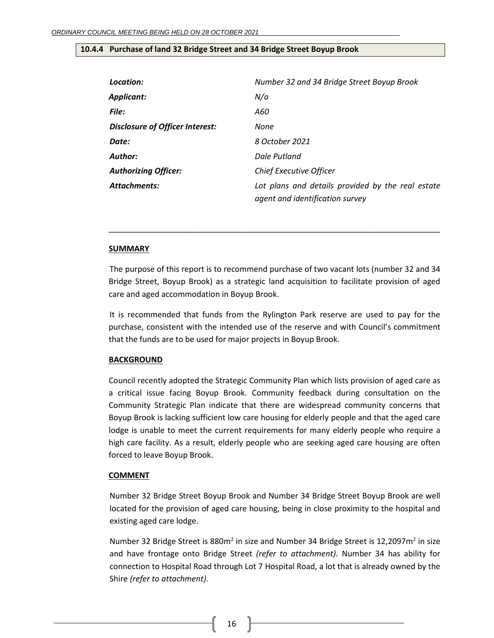## <span id="page-15-0"></span>**10.4.4 Purchase of land 32 Bridge Street and 34 Bridge Street Boyup Brook**

| Location:                       | Number 32 and 34 Bridge Street Boyup Brook                                           |
|---------------------------------|--------------------------------------------------------------------------------------|
| Applicant:                      | N/a                                                                                  |
| <b>File:</b>                    | A60                                                                                  |
| Disclosure of Officer Interest: | None                                                                                 |
| Date:                           | 8 October 2021                                                                       |
| Author:                         | Dale Putland                                                                         |
| <b>Authorizing Officer:</b>     | Chief Executive Officer                                                              |
| <b>Attachments:</b>             | Lot plans and details provided by the real estate<br>agent and identification survey |

## **SUMMARY**

The purpose of this report is to recommend purchase of two vacant lots (number 32 and 34 Bridge Street, Boyup Brook) as a strategic land acquisition to facilitate provision of aged care and aged accommodation in Boyup Brook.

\_\_\_\_\_\_\_\_\_\_\_\_\_\_\_\_\_\_\_\_\_\_\_\_\_\_\_\_\_\_\_\_\_\_\_\_\_\_\_\_\_\_\_\_\_\_\_\_\_\_\_\_\_\_\_\_\_\_\_\_\_\_\_\_\_\_\_\_\_\_\_\_\_\_\_

It is recommended that funds from the Rylington Park reserve are used to pay for the purchase, consistent with the intended use of the reserve and with Council's commitment that the funds are to be used for major projects in Boyup Brook.

## **BACKGROUND**

Council recently adopted the Strategic Community Plan which lists provision of aged care as a critical issue facing Boyup Brook. Community feedback during consultation on the Community Strategic Plan indicate that there are widespread community concerns that Boyup Brook is lacking sufficient low care housing for elderly people and that the aged care lodge is unable to meet the current requirements for many elderly people who require a high care facility. As a result, elderly people who are seeking aged care housing are often forced to leave Boyup Brook.

## **COMMENT**

Number 32 Bridge Street Boyup Brook and Number 34 Bridge Street Boyup Brook are well located for the provision of aged care housing, being in close proximity to the hospital and existing aged care lodge.

Number 32 Bridge Street is 880m<sup>2</sup> in size and Number 34 Bridge Street is 12,2097m<sup>2</sup> in size and have frontage onto Bridge Street *(refer to attachment).* Number 34 has ability for connection to Hospital Road through Lot 7 Hospital Road, a lot that is already owned by the Shire *(refer to attachment)*.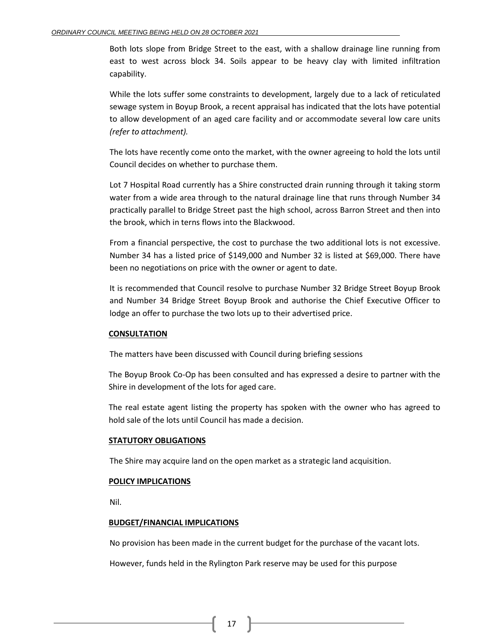Both lots slope from Bridge Street to the east, with a shallow drainage line running from east to west across block 34. Soils appear to be heavy clay with limited infiltration capability.

While the lots suffer some constraints to development, largely due to a lack of reticulated sewage system in Boyup Brook, a recent appraisal has indicated that the lots have potential to allow development of an aged care facility and or accommodate several low care units *(refer to attachment).*

The lots have recently come onto the market, with the owner agreeing to hold the lots until Council decides on whether to purchase them.

Lot 7 Hospital Road currently has a Shire constructed drain running through it taking storm water from a wide area through to the natural drainage line that runs through Number 34 practically parallel to Bridge Street past the high school, across Barron Street and then into the brook, which in terns flows into the Blackwood.

From a financial perspective, the cost to purchase the two additional lots is not excessive. Number 34 has a listed price of \$149,000 and Number 32 is listed at \$69,000. There have been no negotiations on price with the owner or agent to date.

It is recommended that Council resolve to purchase Number 32 Bridge Street Boyup Brook and Number 34 Bridge Street Boyup Brook and authorise the Chief Executive Officer to lodge an offer to purchase the two lots up to their advertised price.

## **CONSULTATION**

The matters have been discussed with Council during briefing sessions

The Boyup Brook Co-Op has been consulted and has expressed a desire to partner with the Shire in development of the lots for aged care.

The real estate agent listing the property has spoken with the owner who has agreed to hold sale of the lots until Council has made a decision.

#### **STATUTORY OBLIGATIONS**

The Shire may acquire land on the open market as a strategic land acquisition.

#### **POLICY IMPLICATIONS**

Nil.

#### **BUDGET/FINANCIAL IMPLICATIONS**

No provision has been made in the current budget for the purchase of the vacant lots.

However, funds held in the Rylington Park reserve may be used for this purpose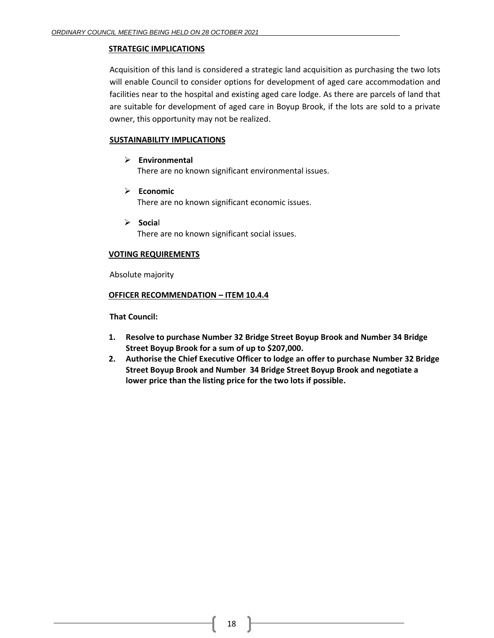## **STRATEGIC IMPLICATIONS**

Acquisition of this land is considered a strategic land acquisition as purchasing the two lots will enable Council to consider options for development of aged care accommodation and facilities near to the hospital and existing aged care lodge. As there are parcels of land that are suitable for development of aged care in Boyup Brook, if the lots are sold to a private owner, this opportunity may not be realized.

## **SUSTAINABILITY IMPLICATIONS**

➢ **Environmental**

There are no known significant environmental issues.

- ➢ **Economic** There are no known significant economic issues.
- ➢ **Socia**l There are no known significant social issues.

## **VOTING REQUIREMENTS**

Absolute majority

## **OFFICER RECOMMENDATION – ITEM 10.4.4**

**That Council:**

- **1. Resolve to purchase Number 32 Bridge Street Boyup Brook and Number 34 Bridge Street Boyup Brook for a sum of up to \$207,000.**
- **2. Authorise the Chief Executive Officer to lodge an offer to purchase Number 32 Bridge Street Boyup Brook and Number 34 Bridge Street Boyup Brook and negotiate a lower price than the listing price for the two lots if possible.**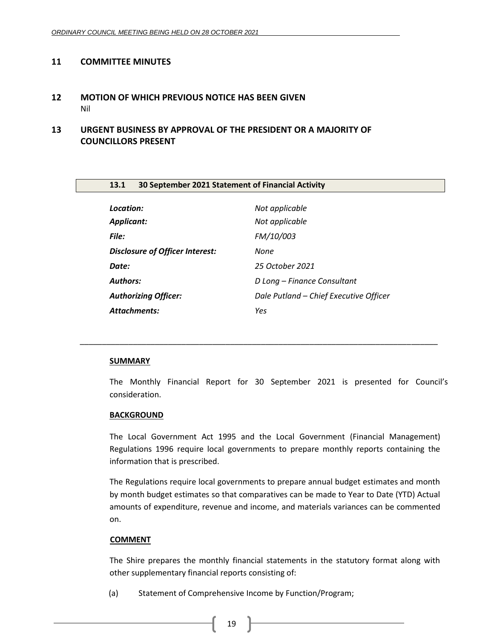## <span id="page-18-0"></span>**11 COMMITTEE MINUTES**

<span id="page-18-1"></span>**12 MOTION OF WHICH PREVIOUS NOTICE HAS BEEN GIVEN** Nil

## <span id="page-18-3"></span><span id="page-18-2"></span>**13 URGENT BUSINESS BY APPROVAL OF THE PRESIDENT OR A MAJORITY OF COUNCILLORS PRESENT**

<span id="page-18-4"></span>

| 13.1                                   | 30 September 2021 Statement of Financial Activity |  |  |
|----------------------------------------|---------------------------------------------------|--|--|
|                                        |                                                   |  |  |
| Location:                              | Not applicable                                    |  |  |
| <b>Applicant:</b>                      | Not applicable                                    |  |  |
| File:                                  | FM/10/003                                         |  |  |
| <b>Disclosure of Officer Interest:</b> | None                                              |  |  |
| Date:                                  | 25 October 2021                                   |  |  |
| <b>Authors:</b>                        | D Long – Finance Consultant                       |  |  |
| <b>Authorizing Officer:</b>            | Dale Putland - Chief Executive Officer            |  |  |
| <b>Attachments:</b>                    | Yes                                               |  |  |

*\_\_\_\_\_\_\_\_\_\_\_\_\_\_\_\_\_\_\_\_\_\_\_\_\_\_\_\_\_\_\_\_\_\_\_\_\_\_\_\_\_\_\_\_\_\_\_\_\_\_\_\_\_\_\_\_\_\_\_\_\_\_\_\_\_\_\_\_\_\_\_\_\_\_\_\_\_\_\_\_\_*

## **SUMMARY**

The Monthly Financial Report for 30 September 2021 is presented for Council's consideration.

#### **BACKGROUND**

The Local Government Act 1995 and the Local Government (Financial Management) Regulations 1996 require local governments to prepare monthly reports containing the information that is prescribed.

The Regulations require local governments to prepare annual budget estimates and month by month budget estimates so that comparatives can be made to Year to Date (YTD) Actual amounts of expenditure, revenue and income, and materials variances can be commented on.

#### **COMMENT**

The Shire prepares the monthly financial statements in the statutory format along with other supplementary financial reports consisting of:

(a) Statement of Comprehensive Income by Function/Program;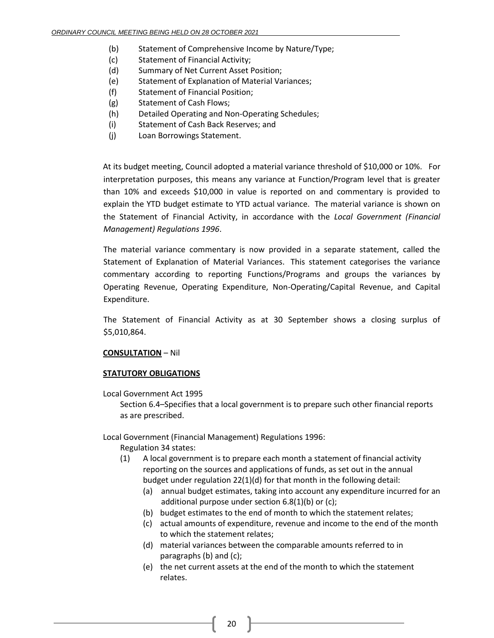- (b) Statement of Comprehensive Income by Nature/Type;
- (c) Statement of Financial Activity;
- (d) Summary of Net Current Asset Position;
- (e) Statement of Explanation of Material Variances;
- (f) Statement of Financial Position;
- (g) Statement of Cash Flows;
- (h) Detailed Operating and Non-Operating Schedules;
- (i) Statement of Cash Back Reserves; and
- (j) Loan Borrowings Statement.

At its budget meeting, Council adopted a material variance threshold of \$10,000 or 10%. For interpretation purposes, this means any variance at Function/Program level that is greater than 10% and exceeds \$10,000 in value is reported on and commentary is provided to explain the YTD budget estimate to YTD actual variance. The material variance is shown on the Statement of Financial Activity, in accordance with the *Local Government (Financial Management) Regulations 1996*.

The material variance commentary is now provided in a separate statement, called the Statement of Explanation of Material Variances. This statement categorises the variance commentary according to reporting Functions/Programs and groups the variances by Operating Revenue, Operating Expenditure, Non-Operating/Capital Revenue, and Capital Expenditure.

The Statement of Financial Activity as at 30 September shows a closing surplus of \$5,010,864.

## **CONSULTATION** – Nil

## **STATUTORY OBLIGATIONS**

Local Government Act 1995

Section 6.4–Specifies that a local government is to prepare such other financial reports as are prescribed.

Local Government (Financial Management) Regulations 1996:

- Regulation 34 states:
- (1) A local government is to prepare each month a statement of financial activity reporting on the sources and applications of funds, as set out in the annual budget under regulation 22(1)(d) for that month in the following detail:
	- (a) annual budget estimates, taking into account any expenditure incurred for an additional purpose under section 6.8(1)(b) or (c);
	- (b) budget estimates to the end of month to which the statement relates;
	- (c) actual amounts of expenditure, revenue and income to the end of the month to which the statement relates;
	- (d) material variances between the comparable amounts referred to in paragraphs (b) and (c);
	- (e) the net current assets at the end of the month to which the statement relates.